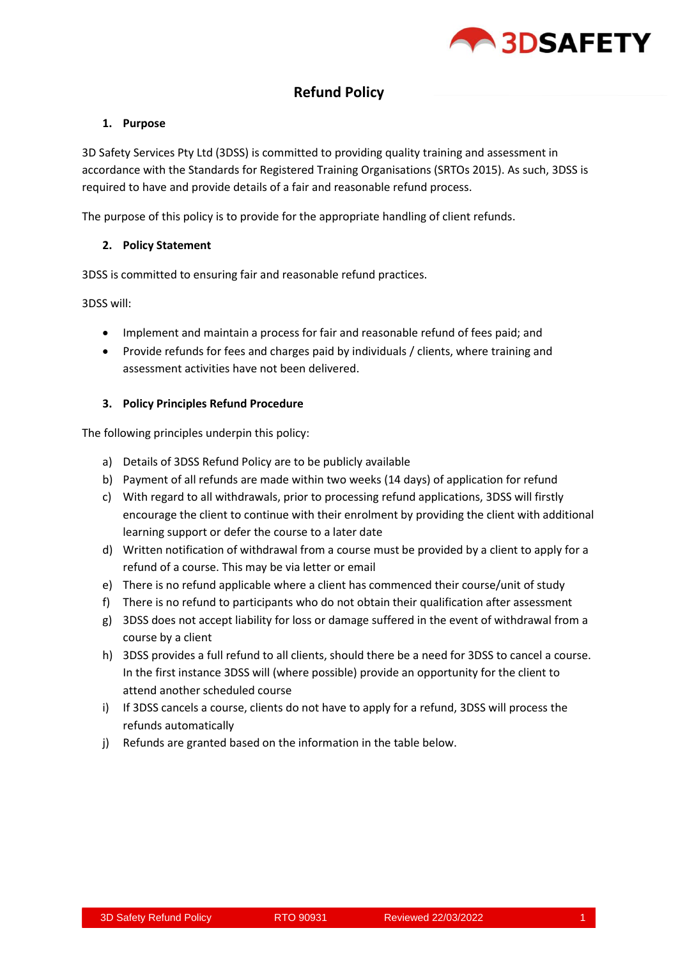

# **Refund Policy**

## **1. Purpose**

3D Safety Services Pty Ltd (3DSS) is committed to providing quality training and assessment in accordance with the Standards for Registered Training Organisations (SRTOs 2015). As such, 3DSS is required to have and provide details of a fair and reasonable refund process.

The purpose of this policy is to provide for the appropriate handling of client refunds.

## **2. Policy Statement**

3DSS is committed to ensuring fair and reasonable refund practices.

3DSS will:

- Implement and maintain a process for fair and reasonable refund of fees paid; and
- Provide refunds for fees and charges paid by individuals / clients, where training and assessment activities have not been delivered.

# **3. Policy Principles Refund Procedure**

The following principles underpin this policy:

- a) Details of 3DSS Refund Policy are to be publicly available
- b) Payment of all refunds are made within two weeks (14 days) of application for refund
- c) With regard to all withdrawals, prior to processing refund applications, 3DSS will firstly encourage the client to continue with their enrolment by providing the client with additional learning support or defer the course to a later date
- d) Written notification of withdrawal from a course must be provided by a client to apply for a refund of a course. This may be via letter or email
- e) There is no refund applicable where a client has commenced their course/unit of study
- f) There is no refund to participants who do not obtain their qualification after assessment
- g) 3DSS does not accept liability for loss or damage suffered in the event of withdrawal from a course by a client
- h) 3DSS provides a full refund to all clients, should there be a need for 3DSS to cancel a course. In the first instance 3DSS will (where possible) provide an opportunity for the client to attend another scheduled course
- i) If 3DSS cancels a course, clients do not have to apply for a refund, 3DSS will process the refunds automatically
- j) Refunds are granted based on the information in the table below.